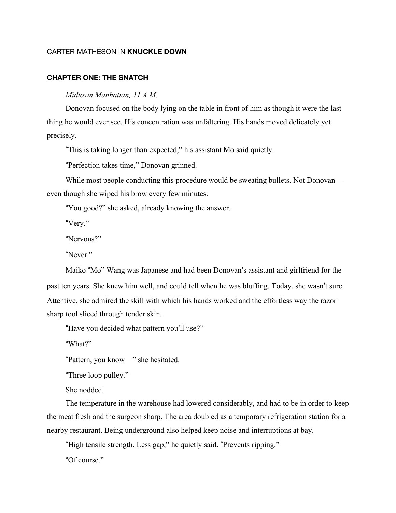## CARTER MATHESON IN **KNUCKLE DOWN**

## **CHAPTER ONE: THE SNATCH**

*Midtown Manhattan, 11 A.M.*

Donovan focused on the body lying on the table in front of him as though it were the last thing he would ever see. His concentration was unfaltering. His hands moved delicately yet precisely.

"This is taking longer than expected," his assistant Mo said quietly.

"Perfection takes time," Donovan grinned.

While most people conducting this procedure would be sweating bullets. Not Donovan even though she wiped his brow every few minutes.

"You good?" she asked, already knowing the answer.

"Very."

"Nervous?"

"Never."

Maiko "Mo" Wang was Japanese and had been Donovan's assistant and girlfriend for the past ten years. She knew him well, and could tell when he was bluffing. Today, she wasn't sure. Attentive, she admired the skill with which his hands worked and the effortless way the razor sharp tool sliced through tender skin.

"Have you decided what pattern you'll use?"

"What?"

"Pattern, you know—" she hesitated.

"Three loop pulley."

She nodded.

The temperature in the warehouse had lowered considerably, and had to be in order to keep the meat fresh and the surgeon sharp. The area doubled as a temporary refrigeration station for a nearby restaurant. Being underground also helped keep noise and interruptions at bay.

"High tensile strength. Less gap," he quietly said. "Prevents ripping."

"Of course."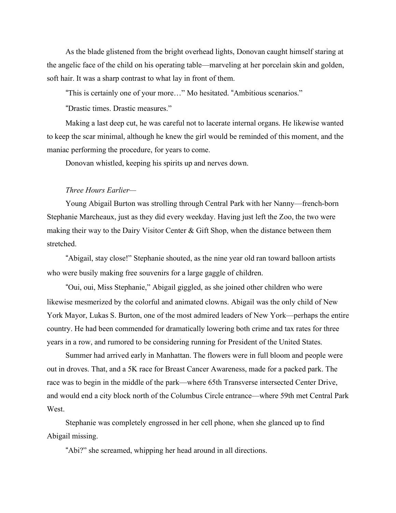As the blade glistened from the bright overhead lights, Donovan caught himself staring at the angelic face of the child on his operating table—marveling at her porcelain skin and golden, soft hair. It was a sharp contrast to what lay in front of them.

"This is certainly one of your more…" Mo hesitated. "Ambitious scenarios."

"Drastic times. Drastic measures."

Making a last deep cut, he was careful not to lacerate internal organs. He likewise wanted to keep the scar minimal, although he knew the girl would be reminded of this moment, and the maniac performing the procedure, for years to come.

Donovan whistled, keeping his spirits up and nerves down.

## *Three Hours Earlier—*

Young Abigail Burton was strolling through Central Park with her Nanny—french-born Stephanie Marcheaux, just as they did every weekday. Having just left the Zoo, the two were making their way to the Dairy Visitor Center  $\&$  Gift Shop, when the distance between them stretched.

"Abigail, stay close!" Stephanie shouted, as the nine year old ran toward balloon artists who were busily making free souvenirs for a large gaggle of children.

"Oui, oui, Miss Stephanie," Abigail giggled, as she joined other children who were likewise mesmerized by the colorful and animated clowns. Abigail was the only child of New York Mayor, Lukas S. Burton, one of the most admired leaders of New York—perhaps the entire country. He had been commended for dramatically lowering both crime and tax rates for three years in a row, and rumored to be considering running for President of the United States.

Summer had arrived early in Manhattan. The flowers were in full bloom and people were out in droves. That, and a 5K race for Breast Cancer Awareness, made for a packed park. The race was to begin in the middle of the park—where 65th Transverse intersected Center Drive, and would end a city block north of the Columbus Circle entrance—where 59th met Central Park West.

Stephanie was completely engrossed in her cell phone, when she glanced up to find Abigail missing.

"Abi?" she screamed, whipping her head around in all directions.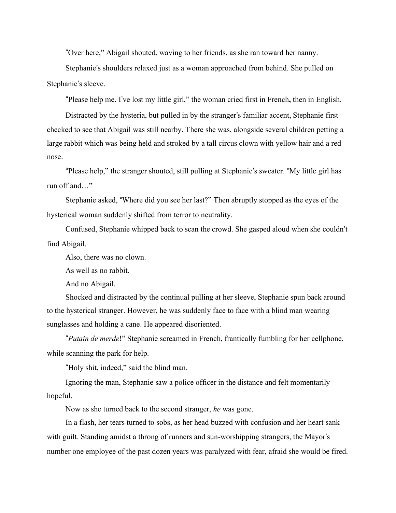"Over here," Abigail shouted, waving to her friends, as she ran toward her nanny.

Stephanie's shoulders relaxed just as a woman approached from behind. She pulled on Stephanie's sleeve.

"Please help me. I've lost my little girl," the woman cried first in French**,** then in English.

Distracted by the hysteria, but pulled in by the stranger's familiar accent, Stephanie first checked to see that Abigail was still nearby. There she was, alongside several children petting a large rabbit which was being held and stroked by a tall circus clown with yellow hair and a red nose.

"Please help," the stranger shouted, still pulling at Stephanie's sweater. "My little girl has run off and…"

Stephanie asked, "Where did you see her last?" Then abruptly stopped as the eyes of the hysterical woman suddenly shifted from terror to neutrality.

Confused, Stephanie whipped back to scan the crowd. She gasped aloud when she couldn't find Abigail.

Also, there was no clown.

As well as no rabbit.

And no Abigail.

Shocked and distracted by the continual pulling at her sleeve, Stephanie spun back around to the hysterical stranger. However, he was suddenly face to face with a blind man wearing sunglasses and holding a cane. He appeared disoriented.

"*Putain de merde*!" Stephanie screamed in French, frantically fumbling for her cellphone, while scanning the park for help.

"Holy shit, indeed," said the blind man.

Ignoring the man, Stephanie saw a police officer in the distance and felt momentarily hopeful.

Now as she turned back to the second stranger, *he* was gone.

In a flash, her tears turned to sobs, as her head buzzed with confusion and her heart sank with guilt. Standing amidst a throng of runners and sun-worshipping strangers, the Mayor's number one employee of the past dozen years was paralyzed with fear, afraid she would be fired.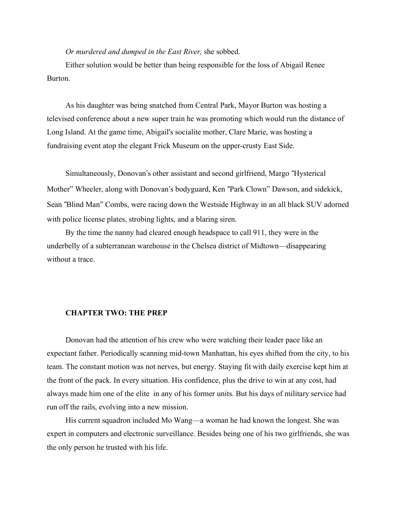*Or murdered and dumped in the East River,* she sobbed.

Either solution would be better than being responsible for the loss of Abigail Renee Burton.

As his daughter was being snatched from Central Park, Mayor Burton was hosting a televised conference about a new super train he was promoting which would run the distance of Long Island. At the game time, Abigail's socialite mother, Clare Marie, was hosting a fundraising event atop the elegant Frick Museum on the upper-crusty East Side.

Simultaneously, Donovan's other assistant and second girlfriend, Margo "Hysterical Mother" Wheeler, along with Donovan's bodyguard, Ken "Park Clown" Dawson, and sidekick, Sean "Blind Man" Combs, were racing down the Westside Highway in an all black SUV adorned with police license plates, strobing lights, and a blaring siren.

By the time the nanny had cleared enough headspace to call 911, they were in the underbelly of a subterranean warehouse in the Chelsea district of Midtown—disappearing without a trace.

## **CHAPTER TWO: THE PREP**

Donovan had the attention of his crew who were watching their leader pace like an expectant father. Periodically scanning mid-town Manhattan, his eyes shifted from the city, to his team. The constant motion was not nerves, but energy. Staying fit with daily exercise kept him at the front of the pack. In every situation. His confidence, plus the drive to win at any cost, had always made him one of the elite in any of his former units. But his days of military service had run off the rails, evolving into a new mission.

His current squadron included Mo Wang—a woman he had known the longest. She was expert in computers and electronic surveillance. Besides being one of his two girlfriends, she was the only person he trusted with his life.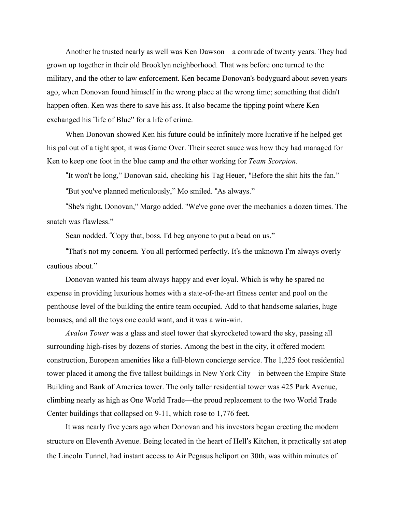Another he trusted nearly as well was Ken Dawson—a comrade of twenty years. They had grown up together in their old Brooklyn neighborhood. That was before one turned to the military, and the other to law enforcement. Ken became Donovan's bodyguard about seven years ago, when Donovan found himself in the wrong place at the wrong time; something that didn't happen often. Ken was there to save his ass. It also became the tipping point where Ken exchanged his "life of Blue" for a life of crime.

When Donovan showed Ken his future could be infinitely more lucrative if he helped get his pal out of a tight spot, it was Game Over. Their secret sauce was how they had managed for Ken to keep one foot in the blue camp and the other working for *Team Scorpion.*

"It won't be long," Donovan said, checking his Tag Heuer, "Before the shit hits the fan."

"But you've planned meticulously," Mo smiled. "As always."

"She's right, Donovan," Margo added. "We've gone over the mechanics a dozen times. The snatch was flawless."

Sean nodded. "Copy that, boss. I'd beg anyone to put a bead on us."

"That's not my concern. You all performed perfectly. It's the unknown I'm always overly cautious about."

Donovan wanted his team always happy and ever loyal. Which is why he spared no expense in providing luxurious homes with a state-of-the-art fitness center and pool on the penthouse level of the building the entire team occupied. Add to that handsome salaries, huge bonuses, and all the toys one could want, and it was a win-win.

*Avalon Tower* was a glass and steel tower that skyrocketed toward the sky, passing all surrounding high-rises by dozens of stories. Among the best in the city, it offered modern construction, European amenities like a full-blown concierge service. The 1,225 foot residential tower placed it among the five tallest buildings in New York City—in between the Empire State Building and Bank of America tower. The only taller residential tower was 425 Park Avenue, climbing nearly as high as One World Trade—the proud replacement to the two World Trade Center buildings that collapsed on 9-11, which rose to 1,776 feet.

It was nearly five years ago when Donovan and his investors began erecting the modern structure on Eleventh Avenue. Being located in the heart of Hell's Kitchen, it practically sat atop the Lincoln Tunnel, had instant access to Air Pegasus heliport on 30th, was within minutes of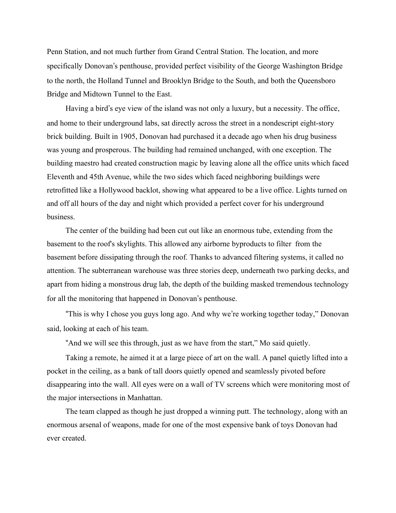Penn Station, and not much further from Grand Central Station. The location, and more specifically Donovan's penthouse, provided perfect visibility of the George Washington Bridge to the north, the Holland Tunnel and Brooklyn Bridge to the South, and both the Queensboro Bridge and Midtown Tunnel to the East.

Having a bird's eye view of the island was not only a luxury, but a necessity. The office, and home to their underground labs, sat directly across the street in a nondescript eight-story brick building. Built in 1905, Donovan had purchased it a decade ago when his drug business was young and prosperous. The building had remained unchanged, with one exception. The building maestro had created construction magic by leaving alone all the office units which faced Eleventh and 45th Avenue, while the two sides which faced neighboring buildings were retrofitted like a Hollywood backlot, showing what appeared to be a live office. Lights turned on and off all hours of the day and night which provided a perfect cover for his underground business.

The center of the building had been cut out like an enormous tube, extending from the basement to the roof's skylights. This allowed any airborne byproducts to filter from the basement before dissipating through the roof. Thanks to advanced filtering systems, it called no attention. The subterranean warehouse was three stories deep, underneath two parking decks, and apart from hiding a monstrous drug lab, the depth of the building masked tremendous technology for all the monitoring that happened in Donovan's penthouse.

"This is why I chose you guys long ago. And why we're working together today," Donovan said, looking at each of his team.

"And we will see this through, just as we have from the start," Mo said quietly.

Taking a remote, he aimed it at a large piece of art on the wall. A panel quietly lifted into a pocket in the ceiling, as a bank of tall doors quietly opened and seamlessly pivoted before disappearing into the wall. All eyes were on a wall of TV screens which were monitoring most of the major intersections in Manhattan.

The team clapped as though he just dropped a winning putt. The technology, along with an enormous arsenal of weapons, made for one of the most expensive bank of toys Donovan had ever created.